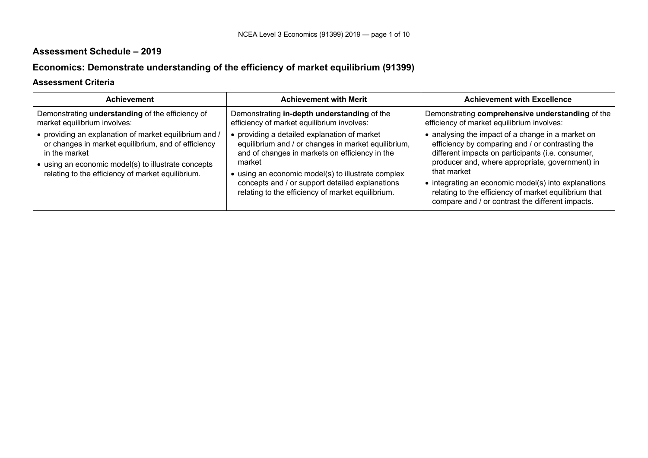# **Assessment Schedule – 2019**

# **Economics: Demonstrate understanding of the efficiency of market equilibrium (91399)**

### **Assessment Criteria**

| <b>Achievement</b>                                                                                                                                                                                                                         | <b>Achievement with Merit</b>                                                                                                                                                                                                                                                                                                 | <b>Achievement with Excellence</b>                                                                                                                                                                                                                                                                                                                                                                |
|--------------------------------------------------------------------------------------------------------------------------------------------------------------------------------------------------------------------------------------------|-------------------------------------------------------------------------------------------------------------------------------------------------------------------------------------------------------------------------------------------------------------------------------------------------------------------------------|---------------------------------------------------------------------------------------------------------------------------------------------------------------------------------------------------------------------------------------------------------------------------------------------------------------------------------------------------------------------------------------------------|
| Demonstrating understanding of the efficiency of<br>market equilibrium involves:                                                                                                                                                           | Demonstrating in-depth understanding of the<br>efficiency of market equilibrium involves:                                                                                                                                                                                                                                     | Demonstrating comprehensive understanding of the<br>efficiency of market equilibrium involves:                                                                                                                                                                                                                                                                                                    |
| • providing an explanation of market equilibrium and /<br>or changes in market equilibrium, and of efficiency<br>in the market<br>• using an economic model(s) to illustrate concepts<br>relating to the efficiency of market equilibrium. | • providing a detailed explanation of market<br>equilibrium and / or changes in market equilibrium,<br>and of changes in markets on efficiency in the<br>market<br>• using an economic model(s) to illustrate complex<br>concepts and / or support detailed explanations<br>relating to the efficiency of market equilibrium. | • analysing the impact of a change in a market on<br>efficiency by comparing and / or contrasting the<br>different impacts on participants (i.e. consumer,<br>producer and, where appropriate, government) in<br>that market<br>• integrating an economic model(s) into explanations<br>relating to the efficiency of market equilibrium that<br>compare and / or contrast the different impacts. |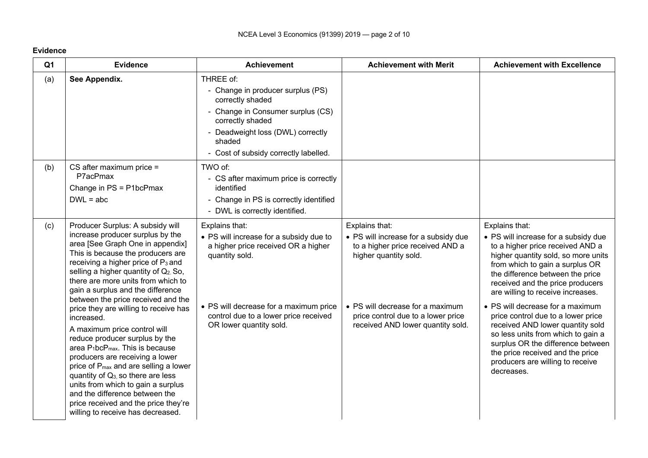| Q <sub>1</sub> | <b>Evidence</b>                                                                                                                                                                                                                                                                                                                                                                                                                                                                                                                                                                                                                                                                                                                     | <b>Achievement</b>                                                                                                                                                                                                               | <b>Achievement with Merit</b>                                                                                                                                                                                                      | <b>Achievement with Excellence</b>                                                                                                                                                                                                                                                                                                                                                                                                                                                                                                                               |
|----------------|-------------------------------------------------------------------------------------------------------------------------------------------------------------------------------------------------------------------------------------------------------------------------------------------------------------------------------------------------------------------------------------------------------------------------------------------------------------------------------------------------------------------------------------------------------------------------------------------------------------------------------------------------------------------------------------------------------------------------------------|----------------------------------------------------------------------------------------------------------------------------------------------------------------------------------------------------------------------------------|------------------------------------------------------------------------------------------------------------------------------------------------------------------------------------------------------------------------------------|------------------------------------------------------------------------------------------------------------------------------------------------------------------------------------------------------------------------------------------------------------------------------------------------------------------------------------------------------------------------------------------------------------------------------------------------------------------------------------------------------------------------------------------------------------------|
| (a)            | See Appendix.                                                                                                                                                                                                                                                                                                                                                                                                                                                                                                                                                                                                                                                                                                                       | THREE of:<br>- Change in producer surplus (PS)<br>correctly shaded<br>- Change in Consumer surplus (CS)<br>correctly shaded<br>- Deadweight loss (DWL) correctly<br>shaded<br>- Cost of subsidy correctly labelled.              |                                                                                                                                                                                                                                    |                                                                                                                                                                                                                                                                                                                                                                                                                                                                                                                                                                  |
| (b)            | $CS$ after maximum price =<br>P7acPmax<br>Change in PS = P1bcPmax<br>$DWL = abc$                                                                                                                                                                                                                                                                                                                                                                                                                                                                                                                                                                                                                                                    | TWO of:<br>- CS after maximum price is correctly<br>identified<br>- Change in PS is correctly identified<br>- DWL is correctly identified.                                                                                       |                                                                                                                                                                                                                                    |                                                                                                                                                                                                                                                                                                                                                                                                                                                                                                                                                                  |
| (c)            | Producer Surplus: A subsidy will<br>increase producer surplus by the<br>area [See Graph One in appendix]<br>This is because the producers are<br>receiving a higher price of P <sub>3</sub> and<br>selling a higher quantity of Q2. So,<br>there are more units from which to<br>gain a surplus and the difference<br>between the price received and the<br>price they are willing to receive has<br>increased.<br>A maximum price control will<br>reduce producer surplus by the<br>area $P_1bcP_{max}$ . This is because<br>producers are receiving a lower<br>price of P <sub>max</sub> and are selling a lower<br>quantity of $Q_3$ , so there are less<br>units from which to gain a surplus<br>and the difference between the | Explains that:<br>• PS will increase for a subsidy due to<br>a higher price received OR a higher<br>quantity sold.<br>• PS will decrease for a maximum price<br>control due to a lower price received<br>OR lower quantity sold. | Explains that:<br>• PS will increase for a subsidy due<br>to a higher price received AND a<br>higher quantity sold.<br>• PS will decrease for a maximum<br>price control due to a lower price<br>received AND lower quantity sold. | Explains that:<br>• PS will increase for a subsidy due<br>to a higher price received AND a<br>higher quantity sold, so more units<br>from which to gain a surplus OR<br>the difference between the price<br>received and the price producers<br>are willing to receive increases.<br>• PS will decrease for a maximum<br>price control due to a lower price<br>received AND lower quantity sold<br>so less units from which to gain a<br>surplus OR the difference between<br>the price received and the price<br>producers are willing to receive<br>decreases. |

#### **Evidence**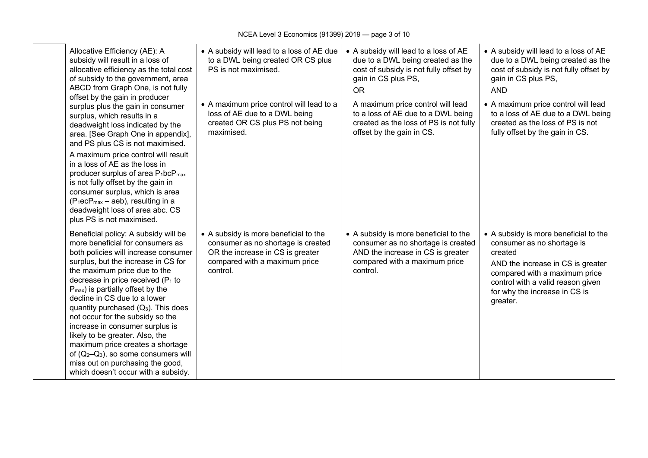| Allocative Efficiency (AE): A<br>subsidy will result in a loss of<br>allocative efficiency as the total cost<br>of subsidy to the government, area<br>ABCD from Graph One, is not fully<br>offset by the gain in producer                                                                                                                                                                                                                                                                                                                                                                                                      | • A subsidy will lead to a loss of AE due<br>to a DWL being created OR CS plus<br>PS is not maximised.                                                       | • A subsidy will lead to a loss of AE<br>due to a DWL being created as the<br>cost of subsidy is not fully offset by<br>gain in CS plus PS,<br><b>OR</b>      | • A subsidy will lead to a loss of AE<br>due to a DWL being created as the<br>cost of subsidy is not fully offset by<br>gain in CS plus PS,<br><b>AND</b>                                                                              |
|--------------------------------------------------------------------------------------------------------------------------------------------------------------------------------------------------------------------------------------------------------------------------------------------------------------------------------------------------------------------------------------------------------------------------------------------------------------------------------------------------------------------------------------------------------------------------------------------------------------------------------|--------------------------------------------------------------------------------------------------------------------------------------------------------------|---------------------------------------------------------------------------------------------------------------------------------------------------------------|----------------------------------------------------------------------------------------------------------------------------------------------------------------------------------------------------------------------------------------|
| surplus plus the gain in consumer<br>surplus, which results in a<br>deadweight loss indicated by the<br>area. [See Graph One in appendix],<br>and PS plus CS is not maximised.                                                                                                                                                                                                                                                                                                                                                                                                                                                 | • A maximum price control will lead to a<br>loss of AE due to a DWL being<br>created OR CS plus PS not being<br>maximised.                                   | A maximum price control will lead<br>to a loss of AE due to a DWL being<br>created as the loss of PS is not fully<br>offset by the gain in CS.                | • A maximum price control will lead<br>to a loss of AE due to a DWL being<br>created as the loss of PS is not<br>fully offset by the gain in CS.                                                                                       |
| A maximum price control will result<br>in a loss of AE as the loss in<br>producer surplus of area P <sub>1</sub> bcP <sub>max</sub><br>is not fully offset by the gain in<br>consumer surplus, which is area<br>$(P_1ecP_{max} - aeb)$ , resulting in a<br>deadweight loss of area abc. CS<br>plus PS is not maximised.                                                                                                                                                                                                                                                                                                        |                                                                                                                                                              |                                                                                                                                                               |                                                                                                                                                                                                                                        |
| Beneficial policy: A subsidy will be<br>more beneficial for consumers as<br>both policies will increase consumer<br>surplus, but the increase in CS for<br>the maximum price due to the<br>decrease in price received $(P_1$ to<br>$P_{\text{max}}$ ) is partially offset by the<br>decline in CS due to a lower<br>quantity purchased $(Q_3)$ . This does<br>not occur for the subsidy so the<br>increase in consumer surplus is<br>likely to be greater. Also, the<br>maximum price creates a shortage<br>of $(Q_2-Q_3)$ , so some consumers will<br>miss out on purchasing the good,<br>which doesn't occur with a subsidy. | • A subsidy is more beneficial to the<br>consumer as no shortage is created<br>OR the increase in CS is greater<br>compared with a maximum price<br>control. | • A subsidy is more beneficial to the<br>consumer as no shortage is created<br>AND the increase in CS is greater<br>compared with a maximum price<br>control. | • A subsidy is more beneficial to the<br>consumer as no shortage is<br>created<br>AND the increase in CS is greater<br>compared with a maximum price<br>control with a valid reason given<br>for why the increase in CS is<br>greater. |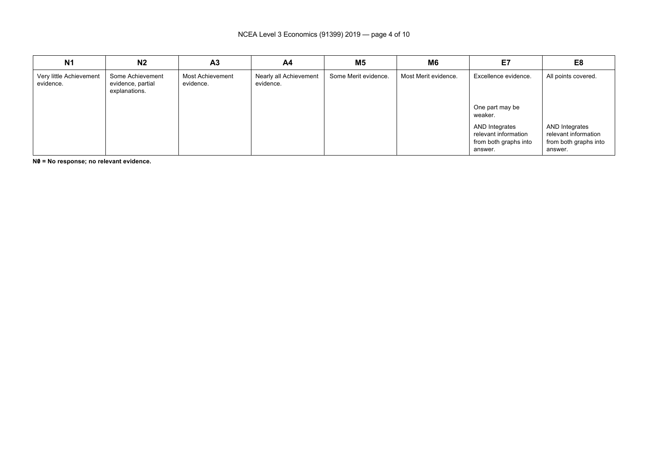| <b>N1</b>                            | N <sub>2</sub>                                         | A <sub>3</sub>                | A4                                  | M <sub>5</sub>       | M6                   | E7                                                                         | E8                                                                         |
|--------------------------------------|--------------------------------------------------------|-------------------------------|-------------------------------------|----------------------|----------------------|----------------------------------------------------------------------------|----------------------------------------------------------------------------|
| Very little Achievement<br>evidence. | Some Achievement<br>evidence, partial<br>explanations. | Most Achievement<br>evidence. | Nearly all Achievement<br>evidence. | Some Merit evidence. | Most Merit evidence. | Excellence evidence.<br>One part may be<br>weaker.                         | All points covered.                                                        |
|                                      |                                                        |                               |                                     |                      |                      | AND Integrates<br>relevant information<br>from both graphs into<br>answer. | AND Integrates<br>relevant information<br>from both graphs into<br>answer. |

**N0/ = No response; no relevant evidence.**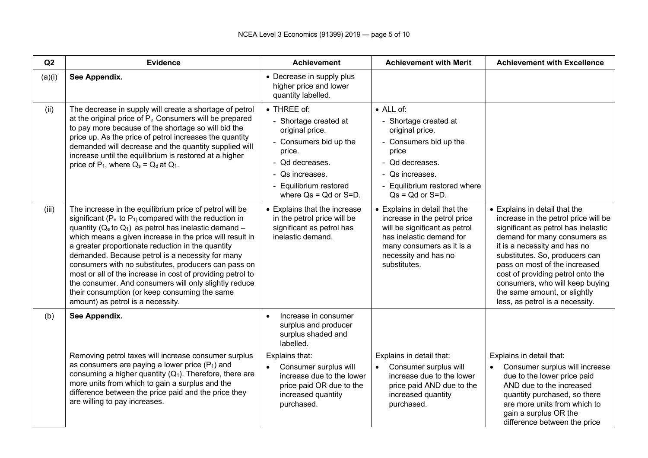| Q2     | <b>Evidence</b>                                                                                                                                                                                                                                                                                                                                                                                                                                                                                                                                                                                                                    | <b>Achievement</b>                                                                                                                                                                          | <b>Achievement with Merit</b>                                                                                                                                                                    | <b>Achievement with Excellence</b>                                                                                                                                                                                                                                                                                                                                                         |
|--------|------------------------------------------------------------------------------------------------------------------------------------------------------------------------------------------------------------------------------------------------------------------------------------------------------------------------------------------------------------------------------------------------------------------------------------------------------------------------------------------------------------------------------------------------------------------------------------------------------------------------------------|---------------------------------------------------------------------------------------------------------------------------------------------------------------------------------------------|--------------------------------------------------------------------------------------------------------------------------------------------------------------------------------------------------|--------------------------------------------------------------------------------------------------------------------------------------------------------------------------------------------------------------------------------------------------------------------------------------------------------------------------------------------------------------------------------------------|
| (a)(i) | See Appendix.                                                                                                                                                                                                                                                                                                                                                                                                                                                                                                                                                                                                                      | • Decrease in supply plus<br>higher price and lower<br>quantity labelled.                                                                                                                   |                                                                                                                                                                                                  |                                                                                                                                                                                                                                                                                                                                                                                            |
| (ii)   | The decrease in supply will create a shortage of petrol<br>at the original price of P <sub>e</sub> . Consumers will be prepared<br>to pay more because of the shortage so will bid the<br>price up. As the price of petrol increases the quantity<br>demanded will decrease and the quantity supplied will<br>increase until the equilibrium is restored at a higher<br>price of $P_1$ , where $Q_s = Q_d$ at $Q_1$ .                                                                                                                                                                                                              | • THREE of:<br>- Shortage created at<br>original price.<br>- Consumers bid up the<br>price.<br>- Qd decreases.<br>- Qs increases.<br>- Equilibrium restored<br>where $Qs = Qd$ or $S = D$ . | $\bullet$ ALL of:<br>- Shortage created at<br>original price.<br>- Consumers bid up the<br>price<br>- Qd decreases.<br>- Qs increases.<br>- Equilibrium restored where<br>$Qs = Qd$ or $S = D$ . |                                                                                                                                                                                                                                                                                                                                                                                            |
| (iii)  | The increase in the equilibrium price of petrol will be<br>significant ( $P_e$ to $P_1$ ) compared with the reduction in<br>quantity ( $Q_e$ to $Q_1$ ) as petrol has inelastic demand -<br>which means a given increase in the price will result in<br>a greater proportionate reduction in the quantity<br>demanded. Because petrol is a necessity for many<br>consumers with no substitutes, producers can pass on<br>most or all of the increase in cost of providing petrol to<br>the consumer. And consumers will only slightly reduce<br>their consumption (or keep consuming the same<br>amount) as petrol is a necessity. | • Explains that the increase<br>in the petrol price will be<br>significant as petrol has<br>inelastic demand.                                                                               | • Explains in detail that the<br>increase in the petrol price<br>will be significant as petrol<br>has inelastic demand for<br>many consumers as it is a<br>necessity and has no<br>substitutes.  | • Explains in detail that the<br>increase in the petrol price will be<br>significant as petrol has inelastic<br>demand for many consumers as<br>it is a necessity and has no<br>substitutes. So, producers can<br>pass on most of the increased<br>cost of providing petrol onto the<br>consumers, who will keep buying<br>the same amount, or slightly<br>less, as petrol is a necessity. |
| (b)    | See Appendix.                                                                                                                                                                                                                                                                                                                                                                                                                                                                                                                                                                                                                      | Increase in consumer<br>$\bullet$<br>surplus and producer<br>surplus shaded and<br>labelled.                                                                                                |                                                                                                                                                                                                  |                                                                                                                                                                                                                                                                                                                                                                                            |
|        | Removing petrol taxes will increase consumer surplus<br>as consumers are paying a lower price $(P_1)$ and<br>consuming a higher quantity $(Q_1)$ . Therefore, there are<br>more units from which to gain a surplus and the<br>difference between the price paid and the price they<br>are willing to pay increases.                                                                                                                                                                                                                                                                                                                | Explains that:<br>Consumer surplus will<br>$\bullet$<br>increase due to the lower<br>price paid OR due to the<br>increased quantity<br>purchased.                                           | Explains in detail that:<br>Consumer surplus will<br>$\bullet$<br>increase due to the lower<br>price paid AND due to the<br>increased quantity<br>purchased.                                     | Explains in detail that:<br>Consumer surplus will increase<br>due to the lower price paid<br>AND due to the increased<br>quantity purchased, so there<br>are more units from which to<br>gain a surplus OR the<br>difference between the price                                                                                                                                             |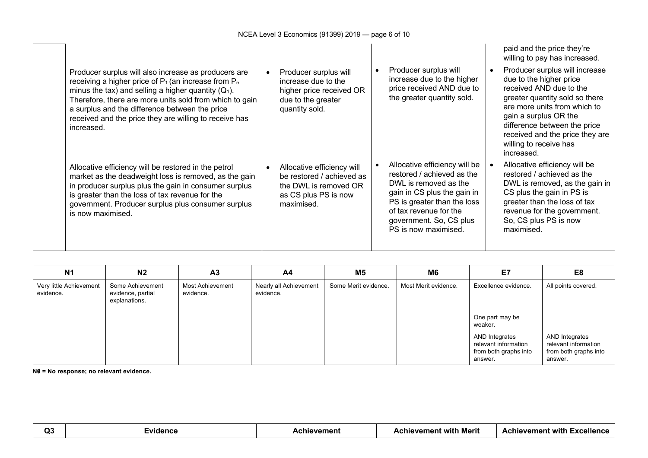| Producer surplus will also increase as producers are<br>receiving a higher price of $P_1$ (an increase from $P_e$<br>minus the tax) and selling a higher quantity $(Q_1)$ .<br>Therefore, there are more units sold from which to gain<br>a surplus and the difference between the price<br>received and the price they are willing to receive has<br>increased. | Producer surplus will<br>increase due to the<br>higher price received OR<br>due to the greater<br>quantity sold.       | Producer surplus will<br>increase due to the higher<br>price received AND due to<br>the greater quantity sold.                                                                                                                  | paid and the price they're<br>willing to pay has increased.<br>Producer surplus will increase<br>due to the higher price<br>received AND due to the<br>greater quantity sold so there<br>are more units from which to<br>gain a surplus OR the<br>difference between the price<br>received and the price they are<br>willing to receive has<br>increased. |
|------------------------------------------------------------------------------------------------------------------------------------------------------------------------------------------------------------------------------------------------------------------------------------------------------------------------------------------------------------------|------------------------------------------------------------------------------------------------------------------------|---------------------------------------------------------------------------------------------------------------------------------------------------------------------------------------------------------------------------------|-----------------------------------------------------------------------------------------------------------------------------------------------------------------------------------------------------------------------------------------------------------------------------------------------------------------------------------------------------------|
| Allocative efficiency will be restored in the petrol<br>market as the deadweight loss is removed, as the gain<br>in producer surplus plus the gain in consumer surplus<br>is greater than the loss of tax revenue for the<br>government. Producer surplus plus consumer surplus<br>is now maximised.                                                             | Allocative efficiency will<br>be restored / achieved as<br>the DWL is removed OR<br>as CS plus PS is now<br>maximised. | Allocative efficiency will be<br>restored / achieved as the<br>DWL is removed as the<br>gain in CS plus the gain in<br>PS is greater than the loss<br>of tax revenue for the<br>government. So, CS plus<br>PS is now maximised. | Allocative efficiency will be<br>restored / achieved as the<br>DWL is removed, as the gain in<br>CS plus the gain in PS is<br>greater than the loss of tax<br>revenue for the government.<br>So, CS plus PS is now<br>maximised.                                                                                                                          |

| N <sub>1</sub>                       | N <sub>2</sub>                                         | A <sub>3</sub>                | A4                                  | M5                   | M6                   | E7                                                                         | E <sub>8</sub>                                                             |
|--------------------------------------|--------------------------------------------------------|-------------------------------|-------------------------------------|----------------------|----------------------|----------------------------------------------------------------------------|----------------------------------------------------------------------------|
| Very little Achievement<br>evidence. | Some Achievement<br>evidence, partial<br>explanations. | Most Achievement<br>evidence. | Nearly all Achievement<br>evidence. | Some Merit evidence. | Most Merit evidence. | Excellence evidence.<br>One part may be<br>weaker.                         | All points covered.                                                        |
|                                      |                                                        |                               |                                     |                      |                      | AND Integrates<br>relevant information<br>from both graphs into<br>answer. | AND Integrates<br>relevant information<br>from both graphs into<br>answer. |

**N0/ = No response; no relevant evidence.**

| ~~<br>.<br>-- |  | remen. | with<br>Merit<br>vemen | with.<br>.vaall<br>vemen<br>ле<br>.<br>- |
|---------------|--|--------|------------------------|------------------------------------------|
|---------------|--|--------|------------------------|------------------------------------------|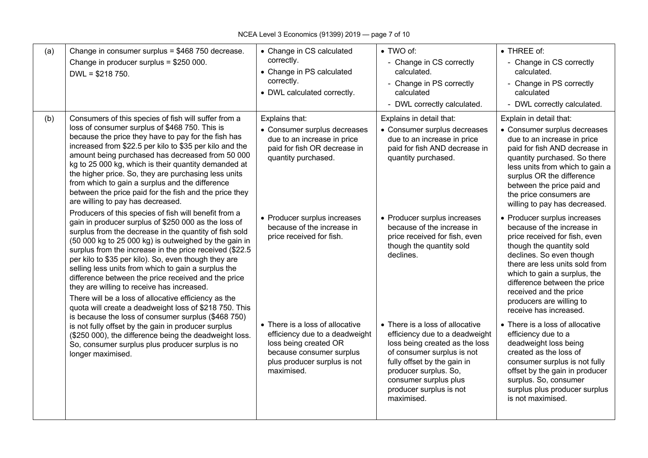| (a) | Change in consumer surplus = \$468 750 decrease.<br>Change in producer surplus = \$250 000.<br>$DWL = $218750.$                                                                                                                                                                                                                                                                                                                                                                                                                                                                                                                   | • Change in CS calculated<br>correctly.<br>• Change in PS calculated<br>correctly.<br>• DWL calculated correctly.                                                    | • TWO of:<br>- Change in CS correctly<br>calculated.<br>- Change in PS correctly<br>calculated<br>- DWL correctly calculated.                                                                                                                               | • THREE of:<br>- Change in CS correctly<br>calculated.<br>- Change in PS correctly<br>calculated<br>- DWL correctly calculated.                                                                                                                                                                                                       |
|-----|-----------------------------------------------------------------------------------------------------------------------------------------------------------------------------------------------------------------------------------------------------------------------------------------------------------------------------------------------------------------------------------------------------------------------------------------------------------------------------------------------------------------------------------------------------------------------------------------------------------------------------------|----------------------------------------------------------------------------------------------------------------------------------------------------------------------|-------------------------------------------------------------------------------------------------------------------------------------------------------------------------------------------------------------------------------------------------------------|---------------------------------------------------------------------------------------------------------------------------------------------------------------------------------------------------------------------------------------------------------------------------------------------------------------------------------------|
| (b) | Consumers of this species of fish will suffer from a<br>loss of consumer surplus of \$468 750. This is<br>because the price they have to pay for the fish has<br>increased from \$22.5 per kilo to \$35 per kilo and the<br>amount being purchased has decreased from 50 000<br>kg to 25 000 kg, which is their quantity demanded at<br>the higher price. So, they are purchasing less units<br>from which to gain a surplus and the difference<br>between the price paid for the fish and the price they<br>are willing to pay has decreased.                                                                                    | Explains that:<br>• Consumer surplus decreases<br>due to an increase in price<br>paid for fish OR decrease in<br>quantity purchased.                                 | Explains in detail that:<br>• Consumer surplus decreases<br>due to an increase in price<br>paid for fish AND decrease in<br>quantity purchased.                                                                                                             | Explain in detail that:<br>• Consumer surplus decreases<br>due to an increase in price<br>paid for fish AND decrease in<br>quantity purchased. So there<br>less units from which to gain a<br>surplus OR the difference<br>between the price paid and<br>the price consumers are<br>willing to pay has decreased.                     |
|     | Producers of this species of fish will benefit from a<br>gain in producer surplus of \$250 000 as the loss of<br>surplus from the decrease in the quantity of fish sold<br>(50 000 kg to 25 000 kg) is outweighed by the gain in<br>surplus from the increase in the price received (\$22.5<br>per kilo to \$35 per kilo). So, even though they are<br>selling less units from which to gain a surplus the<br>difference between the price received and the price<br>they are willing to receive has increased.<br>There will be a loss of allocative efficiency as the<br>quota will create a deadweight loss of \$218 750. This | • Producer surplus increases<br>because of the increase in<br>price received for fish.                                                                               | • Producer surplus increases<br>because of the increase in<br>price received for fish, even<br>though the quantity sold<br>declines.                                                                                                                        | • Producer surplus increases<br>because of the increase in<br>price received for fish, even<br>though the quantity sold<br>declines. So even though<br>there are less units sold from<br>which to gain a surplus, the<br>difference between the price<br>received and the price<br>producers are willing to<br>receive has increased. |
|     | is because the loss of consumer surplus (\$468 750)<br>is not fully offset by the gain in producer surplus<br>(\$250 000), the difference being the deadweight loss.<br>So, consumer surplus plus producer surplus is no<br>longer maximised.                                                                                                                                                                                                                                                                                                                                                                                     | • There is a loss of allocative<br>efficiency due to a deadweight<br>loss being created OR<br>because consumer surplus<br>plus producer surplus is not<br>maximised. | • There is a loss of allocative<br>efficiency due to a deadweight<br>loss being created as the loss<br>of consumer surplus is not<br>fully offset by the gain in<br>producer surplus. So,<br>consumer surplus plus<br>producer surplus is not<br>maximised. | • There is a loss of allocative<br>efficiency due to a<br>deadweight loss being<br>created as the loss of<br>consumer surplus is not fully<br>offset by the gain in producer<br>surplus. So, consumer<br>surplus plus producer surplus<br>is not maximised.                                                                           |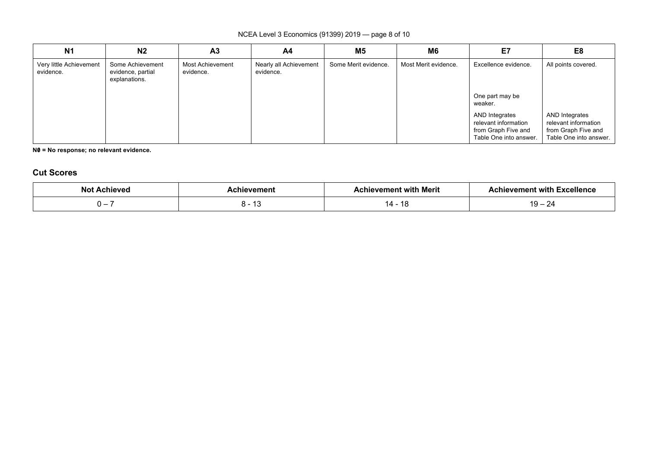### NCEA Level 3 Economics (91399) 2019 — page 8 of 10

| <b>N1</b>                            | N <sub>2</sub>                                         | A <sub>3</sub>                | A4                                  | M <sub>5</sub>       | M <sub>6</sub>       | E7                                                                                      | E <sub>8</sub>                                                                          |
|--------------------------------------|--------------------------------------------------------|-------------------------------|-------------------------------------|----------------------|----------------------|-----------------------------------------------------------------------------------------|-----------------------------------------------------------------------------------------|
| Very little Achievement<br>evidence. | Some Achievement<br>evidence, partial<br>explanations. | Most Achievement<br>evidence. | Nearly all Achievement<br>evidence. | Some Merit evidence. | Most Merit evidence. | Excellence evidence.<br>One part may be<br>weaker.                                      | All points covered.                                                                     |
|                                      |                                                        |                               |                                     |                      |                      | AND Integrates<br>relevant information<br>from Graph Five and<br>Table One into answer. | AND Integrates<br>relevant information<br>from Graph Five and<br>Table One into answer. |

**N0/ = No response; no relevant evidence.**

## **Cut Scores**

| N <sub>o</sub>           |          | 76. U |                                 |  |
|--------------------------|----------|-------|---------------------------------|--|
| $\overline{\phantom{a}}$ | -<br>⊣ ບ | 14    | . J<br>$\overline{\phantom{0}}$ |  |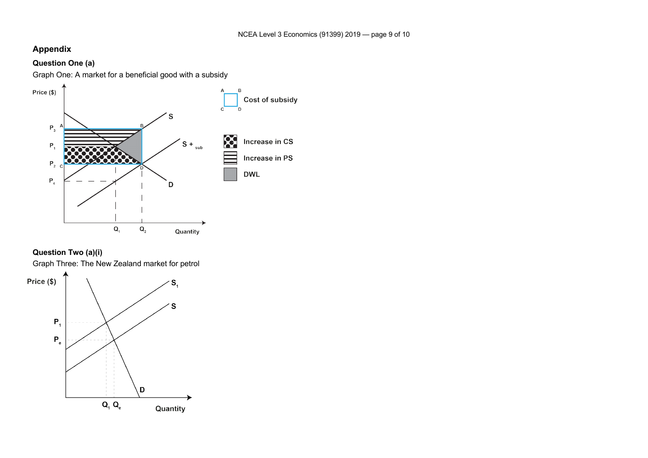### **Appendix**

### **Question One (a)**

Graph One: A market for a beneficial good with a subsidy





Graph Three: The New Zealand market for petrol